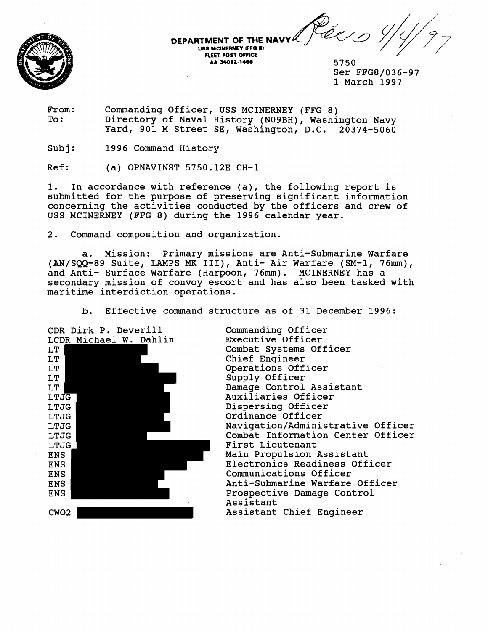te : , **DEPARTMENT OF THE NAV US8 MCINERMY IFFa** *8)*  **FLEET POST OFFICE** /

5750 Ser FFG8/036-97 1 March 1997

From: Commanding Officer, USS MCINERNEY (FFG 8) Directory of Naval History (NO9BH), Washington Navy Yard, 901 M Street SE, Washington, D.C. 20374-5060

Subj: 1996 Command History

 $Ref:$  (a) OPNAVINST 5750.12E  $CH-1$ 

1. In accordance with reference (a), the following report is submitted for the purpose of preserving significant information concerning the activities conducted by the officers and crew of USS MCINERNEY (FFG 8) during the 1996 calendar year.

2. Command composition and organization.

a. Mission: Primary missions are Anti-Submarine Warfare (AN/SQQ-89 Suite, LAMPS MK III), Anti- Air Warfare (SM-1, 76mm), and Anti- Surface Warfare (Harpoon, 76mm). MCINERNEY has a secondary mission of convoy escort and has also been tasked with maritime interdiction operations.

b. Effective command structure as of 31 December 1996:



Commanding Officer Executive Officer Combat Systems Officer Chief Engineer Operations Officer Supply Officer Damage Control Assistant Auxiliaries Officer Dispersing Officer Ordinance Officer **Navigation/Administrative** Officer Combat Information Center Officer First Lieutenant Main Propulsion Assistant Electronics Readiness Officer Communications Officer Anti-Submarine Warfare Officer Prospective Damage Control Assistant Assistant Chief Engineer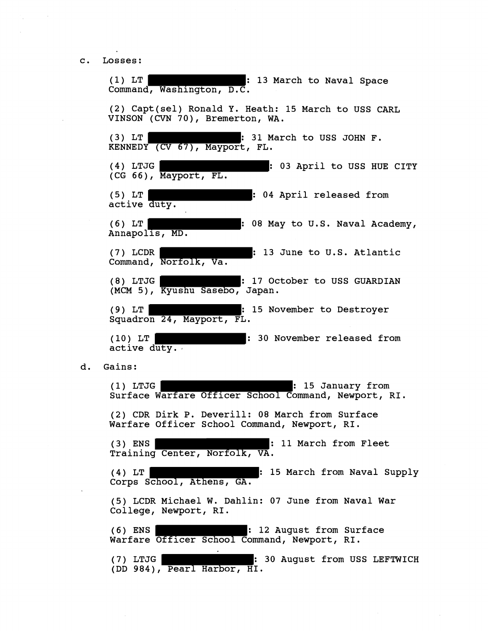c. Losses:

(1) LT : 13 March to Naval Space Command, Washington, D.C. (2) Capt(se1) Ronald Y. Heath: 15 March to USS CARL VINSON **(CVN** 70), Bremerton, WA. (3)  $LT$   $\parallel$  : 31 March to USS JOHN F. KENNEDY **(CV 67),** Mayport, FL. (4) LTJG **Example 2018** 1 03 April to USS HUE CITY (CG 66), Mayport, FL, (5) LT | 1999 : 04 April released from active duty. (6) LT : 08 May to U.S. Naval Academy, Annapolis, MD. (7) LCDR : 13 June to U.S. Atlantic Command, Norfolk, Va. (8) LTJG : 17 October to USS GUARDIAN (MCM 5), Kyushu Sasebo, Japan. (9) LT : 15 November to Destroyer Squadron 24, Mayport, FL. (10) LT : 30 November released from active duty. d. Gains: (1) LTJG : 15 January from Surface Warfare Officer School Command, Newport, RI. (2) CDR Dirk P. Deverill: 08 March from Surface Warfare Officer School Command, Newport, RI. (3) ENS : 11 March from Fleet Training Center, Norfolk, VA. (4) LT | 15 March from Naval Supply Corps School, Athens, GA. (5) LCDR Michael W. Dahlin: 07 June from Naval War College, Newport, RI. (6) ENS | The Research Research 12 August from Surface Warfare Officer School Command, Newport, RI. (7) LTJG THE REFORM OF STRAND REFORM IS STRAND TO AUGUST TO AUGUST TO MALL THE REFORM OF STRAND IS A LEFTWICH (DD 984), Pearl Harbor, HI.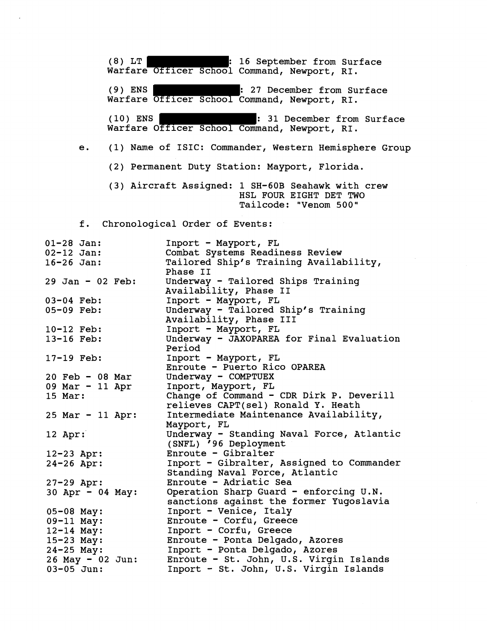(8) LT **: 16 September from Surface** Warfare Officer School Command, Newport, RI. **(9)** ENS : **27** December from Surface Warfare Officer School Command, Newport, RI. **(10)** ENS : **31** December from Surface Warfare Officer School Command, Newport, RI. e. **(1)** Name of ISIC: Commander, Western Hemisphere Group **(2)** Permanent Duty Station: Mayport, Florida. **(3)** Aircraft Assigned: **1 SH-60B** Seahawk with crew HSL FOUR EIGHT DET TWO Tailcode: "Venom **500"**  f. Chronological Order of Events: **01-28** Jan: **02-12** Jan: **16-26** Jan: **<sup>29</sup>**Jan - **02** Feb: **03-04** Feb: **05-09** Feb: **10-12** Feb: **13-16** Feb: **17-19** Feb: **<sup>20</sup>**Feb - **08** Mar **<sup>09</sup>**Mar - **11** Apr **15** Mar: **<sup>25</sup>**Mar - **11** Apr: **12** Apr: **12-23** Apr: **24-26** Apr: **27-29** Apr: **<sup>30</sup>**Apr - **04** May: **05-08** May: **09-11** May: **12-14** May: **15-23** May: **24-25** May: **<sup>26</sup>**May - **02** Jun: **03-05** Jun: Inport - Mayport, FL Combat Systems Readiness Review Tailored Ship's Training Availability, Phase I1 Underway - Tailored Ships Training Availability, Phase I1 Inport - Mayport, FL Underway - Tailored Ship's Training Availability, Phase I11 Inport - Mayport, FL Underway - JAXOPAREA for Final Evaluation Period Inport - Mayport, FL Enroute - Puerto Rico OPAREA Underway - COMPTUEX Inport, Mayport, FL Change of Command - CDR Dirk P. Deverill relieves CAPT(se1) Ronald Y. Heath Intermediate Maintenance Availability, Mayport, FL Underway - Standing Naval Force, Atlantic (SNFL) **'96** Deployment Enroute - Gibralter Inport - Gibralter, Assigned to Commander Standing Naval Force, Atlantic Enroute - Adriatic Sea Operation Sharp Guard - enforcing U.N. sanctions against the former Yugoslavia Inport - Venice, Italy Enroute - Corfu, Greece Inport - Corfu, Greece Enroute - Ponta Delgado, Azores Inport - Ponta Delgado, Azores Enroute - St. John, U.S. Virgin Islands Inport - St. John, U.S. Virgin Islands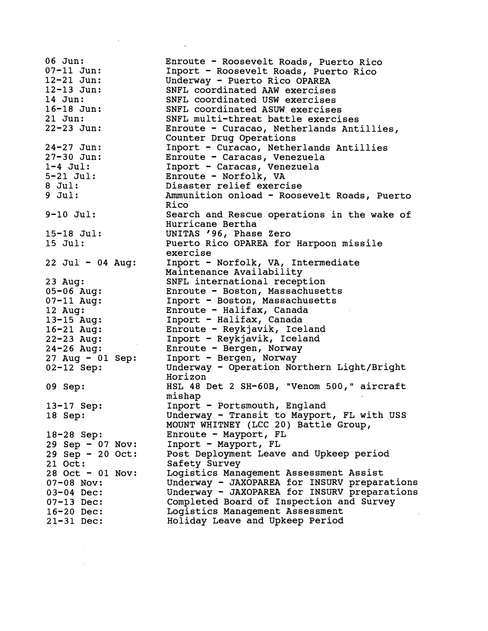06 Jun: 07-11 Jun: 12-21 Jun: 12-13 Jun: 14 Jun: 16-18 Jun: 21 Jun: 22-23 Jun: 24-27 Jun: 27-30 Jun:  $1-4$  Jul: 5-21 Jul: 8 Jul: 9 Jul: 9-10 Jul: 15-18 Jul: 15 Jul:  $22$  Jul - 04 Aug: 23 Aug: 05-06 Aug: 07-11 Aug: 12 Aug: 13-15 Aug: 16-21 Aug: 22-23 Aug: 24-26 Aug: 27 Aug - 01 Sep: 02-12 Sep: 09 Sep: 13-17 Sep: 18 Sep: 18-28 Sep: 29 Sep - 07 Nov: 29 Sep - 20 Oct: 21 Oct: 28 Oct - 01 Nov: 07-08 Nov: 03-04 Dec: 07-13 Dec: 16-20 Dec: 21-31 Dec:

Enroute - Roosevelt Roads, Puerto Rico Inport - Roosevelt Roads, Puerto Rico Underway - Puerto Rico OPAREA SNFL coordinated AAW exercises SNFL coordinated USW exercises SNFL coordinated ASW exercises SNFL multi-threat battle exercises Enroute - Curacao, Netherlands Antillies, Counter Drug Operations Inport - Curacao, Netherlands Antillies Enroute - Caracas, Venezuela Inport - Caracas, Venezuela Enroute - Norfolk, VA Disaster relief exercise Ammunition onload - Roosevelt Roads, Puerto Rico Search and Rescue operations in the wake of Hurricane Bertha UNITAS '96, Phase Zero Puerto Rico OPAREA for Harpoon missile exercise Inport - Norfolk, VA, Intermediate Maintenance Availability SNFL international reception Enroute - Boston, Massachusetts Inport - Boston, Massachusetts Enroute - Halifax, Canada Inport - Halifax, Canada Enroute - Reykjavik, Iceland Inport - Reykjavik, Iceland Enroute - Bergen, Norway Inport - Bergen, Norway Underway - Operation Northern Light/Bright Horizon HSL 48 Det 2 SH-60B, "Venom 500," aircraft mishap Inport - Portsmouth, England Underway - Transit to Mayport, FL with USS MOUNT WHITNEY (LCC 20) Battle Group, Enroute - Mayport, FL Inport - Mayport, FL Post Deployment Leave and Upkeep period Safety Survey Logistics Management Assessment Assist Underway - JAXOPAREA for INSURV preparations Underway - JAXOPAREA for INSURV preparations Completed Board of Inspection and Survey Logistics Management Assessment Holiday Leave and Upkeep Period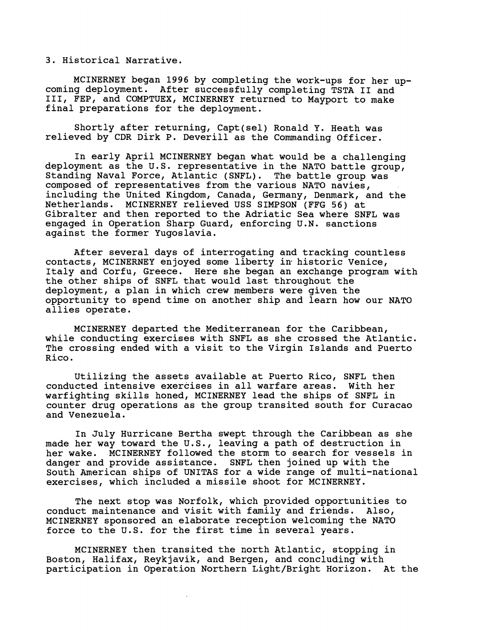3. Historical Narrative.

coming deployment. After successfully completing TSTA II and 111, FEP, and COMPTUEX, MCINERNEY returned to Mayport to make final preparations for the deployment. MCINERNEY began **1996** by completing the work-ups for her up-

Shortly after returning, Capt(se1) Ronald Y. Heath was relieved by CDR Dirk P. Deverill as the Commanding Officer.

In early April MCINERNEY began what would be a challenging deployment as the U.S. representative in the NATO battle group, Standing Naval Force, Atlantic (SNFL). The battle group was composed of representatives from the various NATO navies, including the United Kingdom, Canada, Germany, Denmark, and the Netherlands. MCINERNEY relieved USS SIMPSON (FFG **56)** at Gibralter and then reported to the Adriatic Sea where SNFL was engaged in Operation Sharp Guard, enforcing U.N. sanctions against the former Yugoslavia.

After several days of interrogating and tracking countless contacts, MCINERNEY enjoyed some liberty in. historic Venice, Italy and Corfu, Greece. Here she began an exchange program with the other ships of SNFL that would last throughout the deployment, a plan in which crew members were given the opportunity to spend time on another ship and learn how our NATO allies operate.

MCINERNEY departed the Mediterranean for the Caribbean, while conducting exercises with SNFL as she crossed the Atlantic. The crossing ended with a visit to the Virgin Islands and Puerto Rico.

Utilizing the assets available at Puerto Rico, SNFL then conducted intensive exercises in all warfare areas. With her warfighting skills honed, MCINERNEY lead the ships of SNFL in counter drug operations as the group transited south for Curacao and Venezuela.

In July Hurricane Bertha swept through the Caribbean as she made her way toward the U.S., leaving a path of destruction in her wake. MCINERNEY followed the storm to search for vessels in danger and provide assistance. SNFL then joined up with the South American ships of UNITAS for a wide range of multi-national exercises, which included a missile shoot for MCINERNEY.

The next stop was Norfolk, which provided opportunities to conduct maintenance and visit with family and friends. Also, MCINERNEY sponsored an elaborate reception welcoming the NATO force to the U.S. for the first time in several years.

MCINERNEY then transited the north Atlantic, stopping in Boston, Halifax, Reykjavik, and Bergen, and concluding with participation in Operation Northern Light/Bright Horizon. At the